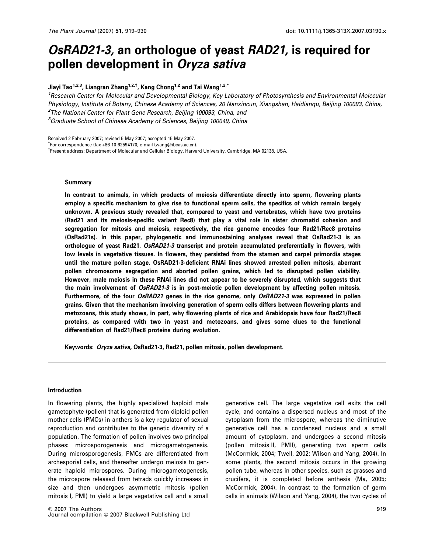# OsRAD21-3, an orthologue of yeast RAD21, is required for pollen development in Oryza sativa

Jiayi Tao<sup>1,2,3</sup>, Liangran Zhang<sup>1,2,†</sup>, Kang Chong<sup>1,2</sup> and Tai Wang<sup>1,2,\*</sup>

<sup>1</sup> Research Center for Molecular and Developmental Biology, Key Laboratory of Photosynthesis and Environmental Molecular Physiology, Institute of Botany, Chinese Academy of Sciences, 20 Nanxincun, Xiangshan, Haidianqu, Beijing 100093, China, <sup>2</sup>The National Center for Plant Gene Research, Beijing 100093, China, and 3 Graduate School of Chinese Academy of Sciences, Beijing 100049, China

Received 2 February 2007; revised 5 May 2007; accepted 15 May 2007.

\* For correspondence (fax +86 10 62594170; e-mail twang@ibcas.ac.cn).

† Present address: Department of Molecular and Cellular Biology, Harvard University, Cambridge, MA 02138, USA.

### Summary

In contrast to animals, in which products of meiosis differentiate directly into sperm, flowering plants employ a specific mechanism to give rise to functional sperm cells, the specifics of which remain largely unknown. A previous study revealed that, compared to yeast and vertebrates, which have two proteins (Rad21 and its meiosis-specific variant Rec8) that play a vital role in sister chromatid cohesion and segregation for mitosis and meiosis, respectively, the rice genome encodes four Rad21/Rec8 proteins (OsRad21s). In this paper, phylogenetic and immunostaining analyses reveal that OsRad21-3 is an orthologue of yeast Rad21. OsRAD21-3 transcript and protein accumulated preferentially in flowers, with low levels in vegetative tissues. In flowers, they persisted from the stamen and carpel primordia stages until the mature pollen stage. OsRAD21-3-deficient RNAi lines showed arrested pollen mitosis, aberrant pollen chromosome segregation and aborted pollen grains, which led to disrupted pollen viability. However, male meiosis in these RNAi lines did not appear to be severely disrupted, which suggests that the main involvement of OsRAD21-3 is in post-meiotic pollen development by affecting pollen mitosis. Furthermore, of the four OsRAD21 genes in the rice genome, only OsRAD21-3 was expressed in pollen grains. Given that the mechanism involving generation of sperm cells differs between flowering plants and metozoans, this study shows, in part, why flowering plants of rice and Arabidopsis have four Rad21/Rec8 proteins, as compared with two in yeast and metozoans, and gives some clues to the functional differentiation of Rad21/Rec8 proteins during evolution.

Keywords: Oryza sativa, OsRad21-3, Rad21, pollen mitosis, pollen development.

### Introduction

In flowering plants, the highly specialized haploid male gametophyte (pollen) that is generated from diploid pollen mother cells (PMCs) in anthers is a key regulator of sexual reproduction and contributes to the genetic diversity of a population. The formation of pollen involves two principal phases: microsporogenesis and microgametogenesis. During microsporogenesis, PMCs are differentiated from archesporial cells, and thereafter undergo meiosis to generate haploid microspores. During microgametogenesis, the microspore released from tetrads quickly increases in size and then undergoes asymmetric mitosis (pollen mitosis I, PMI) to yield a large vegetative cell and a small

generative cell. The large vegetative cell exits the cell cycle, and contains a dispersed nucleus and most of the cytoplasm from the microspore, whereas the diminutive generative cell has a condensed nucleus and a small amount of cytoplasm, and undergoes a second mitosis (pollen mitosis II, PMII), generating two sperm cells (McCormick, 2004; Twell, 2002; Wilson and Yang, 2004). In some plants, the second mitosis occurs in the growing pollen tube, whereas in other species, such as grasses and crucifers, it is completed before anthesis (Ma, 2005; McCormick, 2004). In contrast to the formation of germ cells in animals (Wilson and Yang, 2004), the two cycles of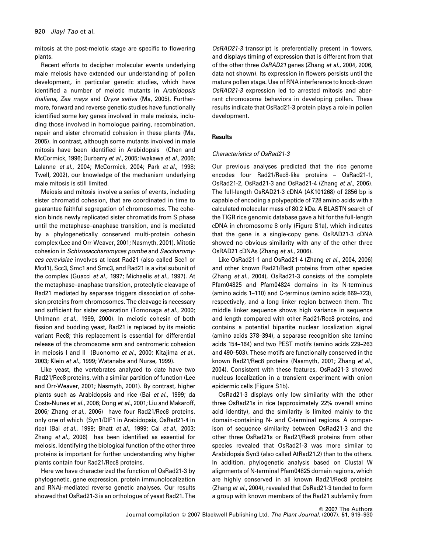mitosis at the post-meiotic stage are specific to flowering plants.

Recent efforts to decipher molecular events underlying male meiosis have extended our understanding of pollen development, in particular genetic studies, which have identified a number of meiotic mutants in Arabidopsis thaliana, Zea mays and Oryza sativa (Ma, 2005). Furthermore, forward and reverse genetic studies have functionally identified some key genes involved in male meiosis, including those involved in homologue pairing, recombination, repair and sister chromatid cohesion in these plants (Ma, 2005). In contrast, although some mutants involved in male mitosis have been identified in Arabidopsis (Chen and McCormick, 1996; Durbarry et al., 2005; Iwakawa et al., 2006; Lalanne et al., 2004; McCormick, 2004; Park et al., 1998; Twell, 2002), our knowledge of the mechanism underlying male mitosis is still limited.

Meiosis and mitosis involve a series of events, including sister chromatid cohesion, that are coordinated in time to guarantee faithful segregation of chromosomes. The cohesion binds newly replicated sister chromatids from S phase until the metaphase–anaphase transition, and is mediated by a phylogenetically conserved multi-protein cohesin complex (Lee and Orr-Weaver, 2001; Nasmyth, 2001). Mitotic cohesion in Schizosaccharomyces pombe and Saccharomyces cerevisiae involves at least Rad21 (also called Scc1 or Mcd1), Scc3, Smc1 and Smc3, and Rad21 is a vital subunit of the complex (Guacci et al., 1997; Michaelis et al., 1997). At the metaphase–anaphase transition, proteolytic cleavage of Rad21 mediated by separase triggers dissociation of cohesion proteins from chromosomes. The cleavage is necessary and sufficient for sister separation (Tomonaga et al., 2000; Uhlmann et al., 1999, 2000). In meiotic cohesin of both fission and budding yeast, Rad21 is replaced by its meiotic variant Rec8; this replacement is essential for differential release of the chromosome arm and centromeric cohesion in meiosis I and II (Buonomo et al., 2000; Kitajima et al., 2003; Klein et al., 1999; Watanabe and Nurse, 1999).

Like yeast, the vertebrates analyzed to date have two Rad21/Rec8 proteins, with a similar partition of function (Lee and Orr-Weaver, 2001; Nasmyth, 2001). By contrast, higher plants such as Arabidopsis and rice (Bai et al., 1999; da Costa-Nunes et al., 2006; Dong et al., 2001; Liu and Makaroff, 2006; Zhang et al., 2006) have four Rad21/Rec8 proteins, only one of which (Syn1/DIF1 in Arabidopsis, OsRad21-4 in rice) (Bai et al., 1999; Bhatt et al., 1999; Cai et al., 2003; Zhang et al., 2006) has been identified as essential for meiosis. Identifying the biological function of the other three proteins is important for further understanding why higher plants contain four Rad21/Rec8 proteins.

Here we have characterized the function of OsRad21-3 by phylogenetic, gene expression, protein immunolocalization and RNAi-mediated reverse genetic analyses. Our results showed that OsRad21-3 is an orthologue of yeast Rad21. The

OsRAD21-3 transcript is preferentially present in flowers, and displays timing of expression that is different from that of the other three OsRAD21 genes (Zhang et al., 2004, 2006, data not shown). Its expression in flowers persists until the mature pollen stage. Use of RNA interference to knock-down OsRAD21-3 expression led to arrested mitosis and aberrant chromosome behaviors in developing pollen. These results indicate that OsRad21-3 protein plays a role in pollen development.

# **Results**

### Characteristics of OsRad21-3

Our previous analyses predicted that the rice genome encodes four Rad21/Rec8-like proteins – OsRad21-1, OsRad21-2, OsRad21-3 and OsRad21-4 (Zhang et al., 2006). The full-length OsRAD21-3 cDNA (AK101268) of 2856 bp is capable of encoding a polypeptide of 728 amino acids with a calculated molecular mass of 80.2 kDa. A BLASTN search of the TIGR rice genomic database gave a hit for the full-length cDNA in chromosome 8 only (Figure S1a), which indicates that the gene is a single-copy gene. OsRAD21-3 cDNA showed no obvious similarity with any of the other three OsRAD21 cDNAs (Zhang et al., 2006).

Like OsRad21-1 and OsRad21-4 (Zhang et al., 2004, 2006) and other known Rad21/Rec8 proteins from other species (Zhang et al., 2004), OsRad21-3 consists of the complete Pfam04825 and Pfam04824 domains in its N-terminus (amino acids 1–110) and C-terminus (amino acids 669–723), respectively, and a long linker region between them. The middle linker sequence shows high variance in sequence and length compared with other Rad21/Rec8 proteins, and contains a potential bipartite nuclear localization signal (amino acids 378–394), a separase recognition site (amino acids 154–164) and two PEST motifs (amino acids 229–263 and 490–503). These motifs are functionally conserved in the known Rad21/Rec8 proteins (Nasmyth, 2001; Zhang et al., 2004). Consistent with these features, OsRad21-3 showed nucleus localization in a transient experiment with onion epidermic cells (Figure S1b).

OsRad21-3 displays only low similarity with the other three OsRad21s in rice (approximately 22% overall amino acid identity), and the similarity is limited mainly to the domain-containing N- and C-terminal regions. A comparison of sequence similarity between OsRad21-3 and the other three OsRad21s or Rad21/Rec8 proteins from other species revealed that OsRad21-3 was more similar to Arabidopsis Syn3 (also called AtRad21.2) than to the others. In addition, phylogenetic analysis based on Clustal W alignments of N-terminal Pfam04825 domain regions, which are highly conserved in all known Rad21/Rec8 proteins (Zhang et al., 2004), revealed that OsRad21-3 tended to form a group with known members of the Rad21 subfamily from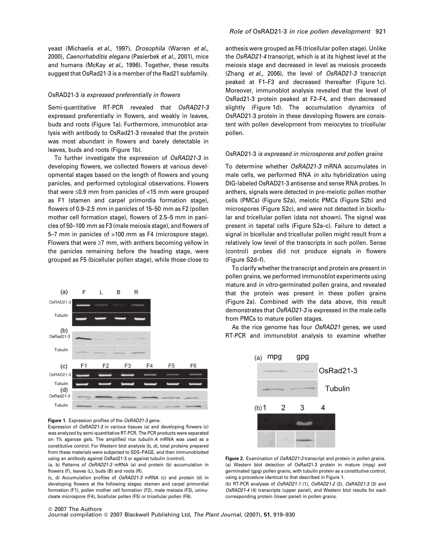yeast (Michaelis et al., 1997), Drosophila (Warren et al., 2000), Caenorhabditis elegans (Pasierbek et al., 2001), mice and humans (McKay et al., 1996). Together, these results suggest that OsRad21-3 is a member of the Rad21 subfamily.

### OsRAD21-3 is expressed preferentially in flowers

Semi-quantitative RT-PCR revealed that OsRAD21-3 expressed preferentially in flowers, and weakly in leaves, buds and roots (Figure 1a). Furthermore, immunoblot analysis with antibody to OsRad21-3 revealed that the protein was most abundant in flowers and barely detectable in leaves, buds and roots (Figure 1b).

To further investigate the expression of OsRAD21-3 in developing flowers, we collected flowers at various developmental stages based on the length of flowers and young panicles, and performed cytological observations. Flowers that were  $\leq$ 0.9 mm from panicles of  $<$ 15 mm were grouped as F1 (stamen and carpel primordia formation stage), flowers of 0.9–2.5 mm in panicles of 15–50 mm as F2 (pollen mother cell formation stage), flowers of 2.5–5 mm in panicles of 50–100 mm as F3 (male meiosis stage), and flowers of 5–7 mm in panicles of >100 mm as F4 (microspore stage). Flowers that were  $\geq 7$  mm, with anthers becoming yellow in the panicles remaining before the heading stage, were grouped as F5 (bicellular pollen stage), while those close to





Expression of OsRAD21-3 in various tissues (a) and developing flowers (c) was analyzed by semi-quantitative RT-PCR. The PCR products were separated on 1% agarose gels. The amplified rice tubulin A mRNA was used as a constitutive control. For Western blot analysis (b, d), total proteins prepared from these materials were subjected to SDS–PAGE, and then immunoblotted using an antibody against OsRad21-3 or against tubulin (control).

(a, b) Patterns of OsRAD21-3 mRNA (a) and protein (b) accumulation in flowers (F), leaves (L), buds (B) and roots (R).

(c, d) Accumulation profiles of OsRAD21-3 mRNA (c) and protein (d) in developing flowers at the following stages: stamen and carpel primordial formation (F1), pollen mother cell formation (F2), male meiosis (F3), uninucleate microspore (F4), bicellular pollen (F5) or tricellular pollen (F6).

anthesis were grouped as F6 (tricellular pollen stage). Unlike the OsRAD21-4 transcript, which is at its highest level at the meiosis stage and decreased in level as meiosis proceeds (Zhang et al., 2006), the level of OsRAD21-3 transcript peaked at F1–F3 and decreased thereafter (Figure 1c). Moreover, immunoblot analysis revealed that the level of OsRad21-3 protein peaked at F2–F4, and then decreased slightly (Figure 1d). The accumulation dynamics of OsRAD21-3 protein in these developing flowers are consistent with pollen development from meiocytes to tricellular pollen.

### OsRAD21-3 is expressed in microspores and pollen grains

To determine whether OsRAD21-3 mRNA accumulates in male cells, we performed RNA in situ hybridization using DIG-labeled OsRAD21-3 antisense and sense RNA probes. In anthers, signals were detected in pre-meiotic pollen mother cells (PMCs) (Figure S2a), meiotic PMCs (Figure S2b) and microspores (Figure S2c), and were not detected in bicellular and tricellular pollen (data not shown). The signal was present in tapetal cells (Figure S2a–c). Failure to detect a signal in bicellular and tricellular pollen might result from a relatively low level of the transcripts in such pollen. Sense (control) probes did not produce signals in flowers (Figure S2d–f).

To clarify whether the transcript and protein are present in pollen grains, we performed immunoblot experiments using mature and in vitro-germinated pollen grains, and revealed that the protein was present in these pollen grains (Figure 2a). Combined with the data above, this result demonstrates that OsRAD21-3 is expressed in the male cells from PMCs to mature pollen stages.

As the rice genome has four OsRAD21 genes, we used RT-PCR and immunoblot analysis to examine whether



Figure 2. Examination of OsRAD21-3 transcript and protein in pollen grains. (a) Western blot detection of OsRad21-3 protein in mature (mpg) and germinated (gpg) pollen grains, with tubulin protein as a constitutive control, using a procedure identical to that described in Figure 1.

(b) RT-PCR analyses of OsRAD21-1 (1), OsRAD21-2 (2), OsRAD21-3 (3) and OsRAD21-4 (4) transcripts (upper panel), and Western blot results for each corresponding protein (lower panel) in pollen grains.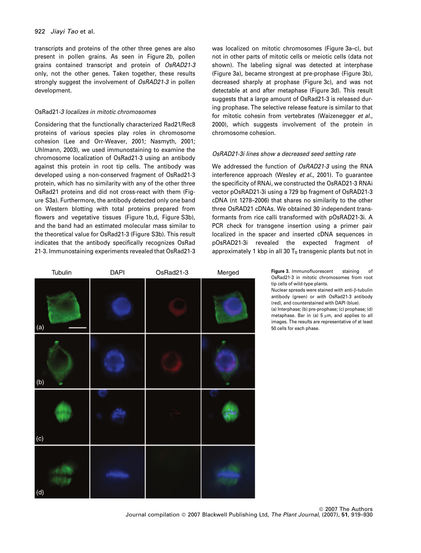transcripts and proteins of the other three genes are also present in pollen grains. As seen in Figure 2b, pollen grains contained transcript and protein of OsRAD21-3 only, not the other genes. Taken together, these results strongly suggest the involvement of OsRAD21-3 in pollen development.

# OsRad21-3 localizes in mitotic chromosomes

Considering that the functionally characterized Rad21/Rec8 proteins of various species play roles in chromosome cohesion (Lee and Orr-Weaver, 2001; Nasmyth, 2001; Uhlmann, 2003), we used immunostaining to examine the chromosome localization of OsRad21-3 using an antibody against this protein in root tip cells. The antibody was developed using a non-conserved fragment of OsRad21-3 protein, which has no similarity with any of the other three OsRad21 proteins and did not cross-react with them (Figure S3a). Furthermore, the antibody detected only one band on Western blotting with total proteins prepared from flowers and vegetative tissues (Figure 1b.d. Figure S3b), and the band had an estimated molecular mass similar to the theoretical value for OsRad21-3 (Figure S3b). This result indicates that the antibody specifically recognizes OsRad 21-3. Immunostaining experiments revealed that OsRad21-3

was localized on mitotic chromosomes (Figure 3a–c), but not in other parts of mitotic cells or meiotic cells (data not shown). The labeling signal was detected at interphase (Figure 3a), became strongest at pre-prophase (Figure 3b), decreased sharply at prophase (Figure 3c), and was not detectable at and after metaphase (Figure 3d). This result suggests that a large amount of OsRad21-3 is released during prophase. The selective release feature is similar to that for mitotic cohesin from vertebrates (Waizenegger et al., 2000), which suggests involvement of the protein in chromosome cohesion.

# OsRAD21-3i lines show a decreased seed setting rate

We addressed the function of OsRAD21-3 using the RNA interference approach (Wesley et al., 2001). To guarantee the specificity of RNAi, we constructed the OsRAD21-3 RNAi vector pOsRAD21-3i using a 729 bp fragment of OsRAD21-3 cDNA (nt 1278–2006) that shares no similarity to the other three OsRAD21 cDNAs. We obtained 30 independent transformants from rice calli transformed with pOsRAD21-3i. A PCR check for transgene insertion using a primer pair localized in the spacer and inserted cDNA sequences in pOsRAD21-3i revealed the expected fragment of approximately 1 kbp in all 30  $T_0$  transgenic plants but not in



tip cells of wild-type plants.

Nuclear spreads were stained with anti-8-tubulin antibody (green) or with OsRad21-3 antibody (red), and counterstained with DAPI (blue).

(a) Interphase; (b) pre-prophase; (c) prophase; (d) metaphase. Bar in (a)  $5 \text{ nm}$ , and applies to all images. The results are representative of at least 50 cells for each phase.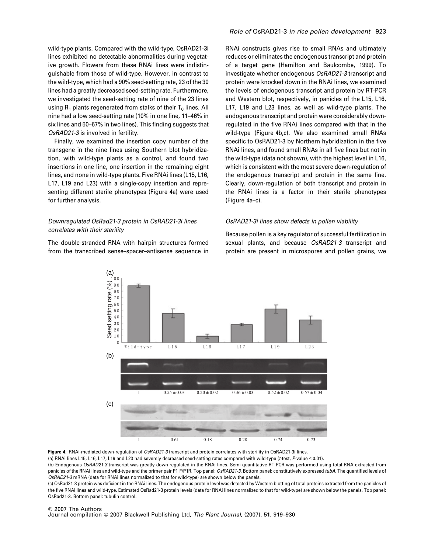wild-type plants. Compared with the wild-type, OsRAD21-3i lines exhibited no detectable abnormalities during vegetative growth. Flowers from these RNAi lines were indistinguishable from those of wild-type. However, in contrast to the wild-type, which had a 90% seed-setting rate, 23 of the 30 lines had a greatly decreased seed-setting rate. Furthermore, we investigated the seed-setting rate of nine of the 23 lines using  $R_1$  plants regenerated from stalks of their  $T_0$  lines. All nine had a low seed-setting rate (10% in one line, 11–46% in six lines and 50–67% in two lines). This finding suggests that OsRAD21-3 is involved in fertility.

Finally, we examined the insertion copy number of the transgene in the nine lines using Southern blot hybridization, with wild-type plants as a control, and found two insertions in one line, one insertion in the remaining eight lines, and none in wild-type plants. Five RNAi lines (L15, L16, L17, L19 and L23) with a single-copy insertion and representing different sterile phenotypes (Figure 4a) were used for further analysis.

# Downregulated OsRad21-3 protein in OsRAD21-3i lines correlates with their sterility

The double-stranded RNA with hairpin structures formed from the transcribed sense–spacer–antisense sequence in

RNAi constructs gives rise to small RNAs and ultimately reduces or eliminates the endogenous transcript and protein of a target gene (Hamilton and Baulcombe, 1999). To investigate whether endogenous OsRAD21-3 transcript and protein were knocked down in the RNAi lines, we examined the levels of endogenous transcript and protein by RT-PCR and Western blot, respectively, in panicles of the L15, L16, L17, L19 and L23 lines, as well as wild-type plants. The endogenous transcript and protein were considerably downregulated in the five RNAi lines compared with that in the wild-type (Figure 4b,c). We also examined small RNAs specific to OsRAD21-3 by Northern hybridization in the five RNAi lines, and found small RNAs in all five lines but not in the wild-type (data not shown), with the highest level in L16, which is consistent with the most severe down-regulation of the endogenous transcript and protein in the same line. Clearly, down-regulation of both transcript and protein in the RNAi lines is a factor in their sterile phenotypes (Figure 4a–c).

# OsRAD21-3i lines show defects in pollen viability

Because pollen is a key regulator of successful fertilization in sexual plants, and because OsRAD21-3 transcript and protein are present in microspores and pollen grains, we



Figure 4. RNAi-mediated down-regulation of OsRAD21-3 transcript and protein correlates with sterility in OsRAD21-3i lines. (a) RNAi lines L15, L16, L17, L19 and L23 had severely decreased seed-setting rates compared with wild-type (t-test, P-value  $\leq$  0.01).

(b) Endogenous OsRAD21-3 transcript was greatly down-regulated in the RNAi lines. Semi-quantitative RT-PCR was performed using total RNA extracted from panicles of the RNAi lines and wild-type and the primer pair P1 F/P1R. Top panel: OsRAD21-3. Bottom panel: constitutively expressed tubA. The quantified levels of OsRAD21-3 mRNA (data for RNAi lines normalized to that for wild-type) are shown below the panels.

(c) OsRad21-3 protein was deficient in the RNAi lines. The endogenous protein level was detected by Western blotting of total proteins extracted from the panicles of the five RNAi lines and wild-type. Estimated OsRad21-3 protein levels (data for RNAi lines normalized to that for wild-type) are shown below the panels. Top panel: OsRad21-3. Bottom panel: tubulin control.

#### ª 2007 The Authors

Journal compilation © 2007 Blackwell Publishing Ltd, The Plant Journal, (2007), 51, 919-930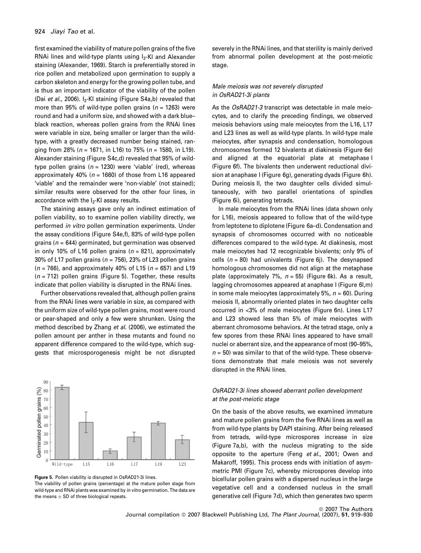first examined the viability of mature pollen grains of the five RNAi lines and wild-type plants using  $I_2$ -KI and Alexander staining (Alexander, 1969). Starch is preferentially stored in rice pollen and metabolized upon germination to supply a carbon skeleton and energy for the growing pollen tube, and is thus an important indicator of the viability of the pollen (Dai et al., 2006).  $I_2$ -KI staining (Figure S4a,b) revealed that more than 95% of wild-type pollen grains ( $n = 1263$ ) were round and had a uniform size, and showed with a dark blue– black reaction, whereas pollen grains from the RNAi lines were variable in size, being smaller or larger than the wildtype, with a greatly decreased number being stained, ranging from 28% ( $n = 1671$ , in L16) to 75% ( $n = 1580$ , in L19). Alexander staining (Figure S4c,d) revealed that 95% of wildtype pollen grains ( $n = 1230$ ) were 'viable' (red), whereas approximately 40% ( $n = 1660$ ) of those from L16 appeared 'viable' and the remainder were 'non-viable' (not stained); similar results were observed for the other four lines, in accordance with the  $I_2$ -KI assay results.

The staining assays gave only an indirect estimation of pollen viability, so to examine pollen viability directly, we performed in vitro pollen germination experiments. Under the assay conditions (Figure S4e,f), 83% of wild-type pollen grains ( $n = 644$ ) germinated, but germination was observed in only 10% of L16 pollen grains ( $n = 821$ ), approximately 30% of L17 pollen grains ( $n = 756$ ), 23% of L23 pollen grains  $(n = 766)$ , and approximately 40% of L15 ( $n = 657$ ) and L19  $(n = 712)$  pollen grains (Figure 5). Together, these results indicate that pollen viability is disrupted in the RNAi lines.

Further observations revealed that, although pollen grains from the RNAi lines were variable in size, as compared with the uniform size of wild-type pollen grains, most were round or pear-shaped and only a few were shrunken. Using the method described by Zhang et al. (2006), we estimated the pollen amount per anther in these mutants and found no apparent difference compared to the wild-type, which suggests that microsporogenesis might be not disrupted





severely in the RNAi lines, and that sterility is mainly derived from abnormal pollen development at the post-meiotic stage.

# Male meiosis was not severely disrupted in OsRAD21-3i plants

As the OsRAD21-3 transcript was detectable in male meiocytes, and to clarify the preceding findings, we observed meiosis behaviors using male meiocytes from the L16, L17 and L23 lines as well as wild-type plants. In wild-type male meiocytes, after synapsis and condensation, homologous chromosomes formed 12 bivalents at diakinesis (Figure 6e) and aligned at the equatorial plate at metaphase I (Figure 6f). The bivalents then underwent reductional division at anaphase I (Figure 6g), generating dyads (Figure 6h). During meiosis II, the two daughter cells divided simultaneously, with two parallel orientations of spindles (Figure 6i), generating tetrads.

In male meiocytes from the RNAi lines (data shown only for L16), meiosis appeared to follow that of the wild-type from leptotene to diplotene (Figure 6a–d). Condensation and synapsis of chromosomes occurred with no noticeable differences compared to the wild-type. At diakinesis, most male meiocytes had 12 recognizable bivalents; only 9% of cells ( $n = 80$ ) had univalents (Figure 6j). The desynapsed homologous chromosomes did not align at the metaphase plate (approximately 7%,  $n = 55$ ) (Figure 6k). As a result, lagging chromosomes appeared at anaphase I (Figure 6l,m) in some male meiocytes (approximately 5%,  $n = 60$ ). During meiosis II, abnormally oriented plates in two daughter cells occurred in <3% of male meiocytes (Figure 6n). Lines L17 and L23 showed less than 5% of male meiocytes with aberrant chromosome behaviors. At the tetrad stage, only a few spores from these RNAi lines appeared to have small nuclei or aberrant size, and the appearance of most (90–95%,  $n = 50$ ) was similar to that of the wild-type. These observations demonstrate that male meiosis was not severely disrupted in the RNAi lines.

# OsRAD21-3i lines showed aberrant pollen development at the post-meiotic stage

On the basis of the above results, we examined immature and mature pollen grains from the five RNAi lines as well as from wild-type plants by DAPI staining. After being released from tetrads, wild-type microspores increase in size (Figure 7a,b), with the nucleus migrating to the side opposite to the aperture (Feng et al., 2001; Owen and Makaroff, 1995). This process ends with initiation of asymmetric PMI (Figure 7c), whereby microspores develop into bicellular pollen grains with a dispersed nucleus in the large vegetative cell and a condensed nucleus in the small generative cell (Figure 7d), which then generates two sperm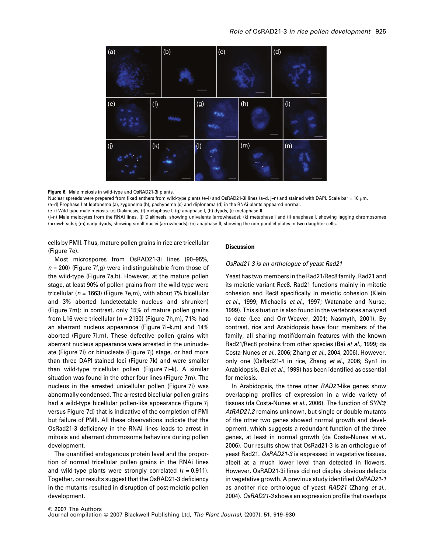

Figure 6. Male meiosis in wild-type and OsRAD21-3i plants.

Nuclear spreads were prepared from fixed anthers from wild-type plants (e-i) and OsRAD21-3i lines (a-d, j-n) and stained with DAPI. Scale bar = 10 µm. (a–d) Prophase I at leptonema (a), zygonema (b), pachynema (c) and diplonema (d) in the RNAi plants appeared normal.

(e–i) Wild-type male meiosis. (e) Diakinesis, (f) metaphase I, (g) anaphase I, (h) dyads, (i) metaphase II.

(j–n) Male meiocytes from the RNAi lines. (j) Diakinesis, showing univalents (arrowheads); (k) metaphase I and (l) anaphase I, showing lagging chromosomes (arrowheads); (m) early dyads, showing small nuclei (arrowheads); (n) anaphase II, showing the non-parallel plates in two daughter cells.

cells by PMII. Thus, mature pollen grains in rice are tricellular (Figure 7e).

Most microspores from OsRAD21-3i lines (90–95%,  $n = 200$ ) (Figure 7f,g) were indistinguishable from those of the wild-type (Figure 7a,b). However, at the mature pollen stage, at least 90% of pollen grains from the wild-type were tricellular ( $n = 1663$ ) (Figure 7e,m), with about 7% bicellular and 3% aborted (undetectable nucleus and shrunken) (Figure 7m); in contrast, only 15% of mature pollen grains from L16 were tricellular ( $n = 2130$ ) (Figure 7h,m), 71% had an aberrant nucleus appearance (Figure 7i–k,m) and 14% aborted (Figure 7l,m). These defective pollen grains with aberrant nucleus appearance were arrested in the uninucleate (Figure 7i) or binucleate (Figure 7j) stage, or had more than three DAPI-stained loci (Figure 7k) and were smaller than wild-type tricellular pollen (Figure 7i–k). A similar situation was found in the other four lines (Figure 7m). The nucleus in the arrested unicellular pollen (Figure 7i) was abnormally condensed. The arrested bicellular pollen grains had a wild-type bicellular pollen-like appearance (Figure 7j versus Figure 7d) that is indicative of the completion of PMI but failure of PMII. All these observations indicate that the OsRad21-3 deficiency in the RNAi lines leads to arrest in mitosis and aberrant chromosome behaviors during pollen development.

The quantified endogenous protein level and the proportion of normal tricellular pollen grains in the RNAi lines and wild-type plants were strongly correlated  $(r = 0.911)$ . Together, our results suggest that the OsRAD21-3 deficiency in the mutants resulted in disruption of post-meiotic pollen development.

# **Discussion**

### OsRad21-3 is an orthologue of yeast Rad21

Yeast has two members in the Rad21/Rec8 family, Rad21 and its meiotic variant Rec8. Rad21 functions mainly in mitotic cohesion and Rec8 specifically in meiotic cohesion (Klein et al., 1999; Michaelis et al., 1997; Watanabe and Nurse, 1999). This situation is also found in the vertebrates analyzed to date (Lee and Orr-Weaver, 2001; Nasmyth, 2001). By contrast, rice and Arabidopsis have four members of the family, all sharing motif/domain features with the known Rad21/Rec8 proteins from other species (Bai et al., 1999; da Costa-Nunes et al., 2006; Zhang et al., 2004, 2006). However, only one (OsRad21-4 in rice, Zhang et al., 2006; Syn1 in Arabidopsis, Bai et al., 1999) has been identified as essential for meiosis.

In Arabidopsis, the three other RAD21-like genes show overlapping profiles of expression in a wide variety of tissues (da Costa-Nunes et al., 2006). The function of SYN3/ AtRAD21.2 remains unknown, but single or double mutants of the other two genes showed normal growth and development, which suggests a redundant function of the three genes, at least in normal growth (da Costa-Nunes et al., 2006). Our results show that OsRad21-3 is an orthologue of yeast Rad21. OsRAD21-3 is expressed in vegetative tissues, albeit at a much lower level than detected in flowers. However, OsRAD21-3i lines did not display obvious defects in vegetative growth. A previous study identified OsRAD21-1 as another rice orthologue of yeast RAD21 (Zhang et al., 2004). OsRAD21-3 shows an expression profile that overlaps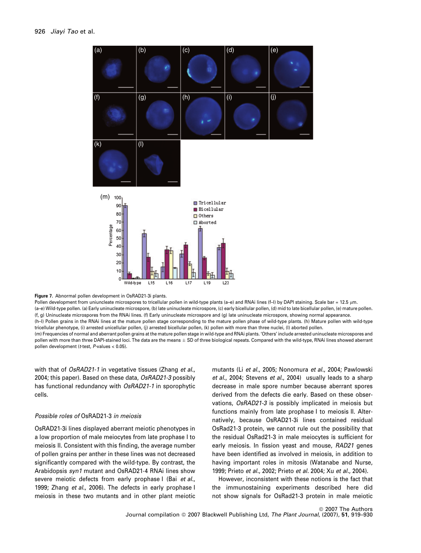

Figure 7. Abnormal pollen development in OsRAD21-3i plants.

Pollen development from uniuncleate microspores to tricellular pollen in wild-type plants (a–e) and RNAi lines (f-l) by DAPI staining. Scale bar = 12.5 µm. (a–e) Wild-type pollen. (a) Early uninucleate microspore, (b) late uninucleate microspore, (c) early bicellular pollen, (d) mid to late bicellular pollen, (e) mature pollen. (f, g) Uninucleate microspores from the RNAi lines. (f) Early uninucleate microspore and (g) late uninucleate microspore, showing normal appearance. (h–l) Pollen grains in the RNAi lines at the mature pollen stage corresponding to the mature pollen phase of wild-type plants. (h) Mature pollen with wild-type tricellular phenotype, (i) arrested unicellular pollen, (j) arrested bicellular pollen, (k) pollen with more than three nuclei, (l) aborted pollen. (m) Frequencies of normal and aberrant pollen grains at the mature pollen stage in wild-type and RNAi plants. 'Others' include arrested uninucleate microspores and pollen with more than three DAPI-stained loci. The data are the means  $\pm$  SD of three biological repeats. Compared with the wild-type, RNAi lines showed aberrant pollen development (t-test, P-values < 0.05).

with that of OsRAD21-1 in vegetative tissues (Zhang et al., 2004; this paper). Based on these data, OsRAD21-3 possibly has functional redundancy with OsRAD21-1 in sporophytic cells.

# Possible roles of OsRAD21-3 in meiosis

OsRAD21-3i lines displayed aberrant meiotic phenotypes in a low proportion of male meiocytes from late prophase I to meiosis II. Consistent with this finding, the average number of pollen grains per anther in these lines was not decreased significantly compared with the wild-type. By contrast, the Arabidopsis syn1 mutant and OsRAD21-4 RNAi lines show severe meiotic defects from early prophase I (Bai et al., 1999; Zhang et al., 2006). The defects in early prophase I meiosis in these two mutants and in other plant meiotic mutants (Li et al., 2005; Nonomura et al., 2004; Pawlowski et al., 2004; Stevens et al., 2004) usually leads to a sharp decrease in male spore number because aberrant spores derived from the defects die early. Based on these observations, OsRAD21-3 is possibly implicated in meiosis but functions mainly from late prophase I to meiosis II. Alternatively, because OsRAD21-3i lines contained residual OsRad21-3 protein, we cannot rule out the possibility that the residual OsRad21-3 in male meiocytes is sufficient for early meiosis. In fission yeast and mouse, RAD21 genes have been identified as involved in meiosis, in addition to having important roles in mitosis (Watanabe and Nurse, 1999; Prieto et al., 2002; Prieto et al. 2004; Xu et al., 2004).

However, inconsistent with these notions is the fact that the immunostaining experiments described here did not show signals for OsRad21-3 protein in male meiotic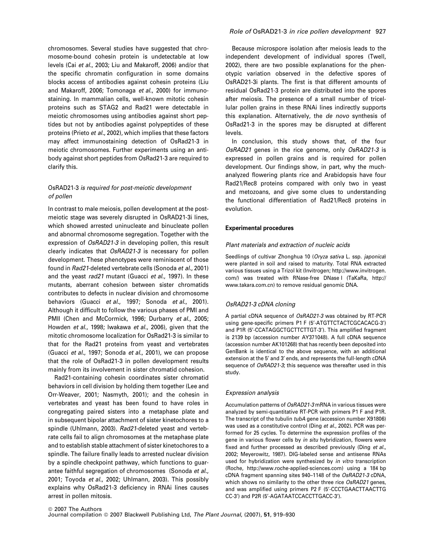chromosomes. Several studies have suggested that chromosome-bound cohesin protein is undetectable at low levels (Cai et al., 2003; Liu and Makaroff, 2006) and/or that the specific chromatin configuration in some domains blocks access of antibodies against cohesin proteins (Liu and Makaroff, 2006; Tomonaga et al., 2000) for immunostaining. In mammalian cells, well-known mitotic cohesin proteins such as STAG2 and Rad21 were detectable in meiotic chromosomes using antibodies against short peptides but not by antibodies against polypeptides of these proteins (Prieto et al., 2002), which implies that these factors may affect immunostaining detection of OsRad21-3 in meiotic chromosomes. Further experiments using an antibody against short peptides from OsRad21-3 are required to clarify this.

# OsRAD21-3 is required for post-meiotic development of pollen

In contrast to male meiosis, pollen development at the postmeiotic stage was severely disrupted in OsRAD21-3i lines, which showed arrested uninucleate and binucleate pollen and abnormal chromosome segregation. Together with the expression of OsRAD21-3 in developing pollen, this result clearly indicates that OsRAD21-3 is necessary for pollen development. These phenotypes were reminiscent of those found in Rad21-deleted vertebrate cells (Sonoda et al., 2001) and the yeast rad21 mutant (Guacci et al., 1997). In these mutants, aberrant cohesion between sister chromatids contributes to defects in nuclear division and chromosome behaviors (Guacci et al., 1997; Sonoda et al., 2001). Although it difficult to follow the various phases of PMI and PMII (Chen and McCormick, 1996; Durbarry et al., 2005; Howden et al., 1998; Iwakawa et al., 2006), given that the mitotic chromosome localization for OsRad21-3 is similar to that for the Rad21 proteins from yeast and vertebrates (Guacci et al., 1997; Sonoda et al., 2001), we can propose that the role of OsRad21-3 in pollen development results mainly from its involvement in sister chromatid cohesion.

Rad21-containing cohesin coordinates sister chromatid behaviors in cell division by holding them together (Lee and Orr-Weaver, 2001; Nasmyth, 2001); and the cohesin in vertebrates and yeast has been found to have roles in congregating paired sisters into a metaphase plate and in subsequent bipolar attachment of sister kinetochores to a spindle (Uhlmann, 2003). Rad21-deleted yeast and vertebrate cells fail to align chromosomes at the metaphase plate and to establish stable attachment of sister kinetochores to a spindle. The failure finally leads to arrested nuclear division by a spindle checkpoint pathway, which functions to guarantee faithful segregation of chromosomes (Sonoda et al., 2001; Toyoda et al., 2002; Uhlmann, 2003). This possibly explains why OsRad21-3 deficiency in RNAi lines causes arrest in pollen mitosis.

# Role of OsRAD21-3 in rice pollen development 927

Because microspore isolation after meiosis leads to the independent development of individual spores (Twell, 2002), there are two possible explanations for the phenotypic variation observed in the defective spores of OsRAD21-3i plants. The first is that different amounts of residual OsRad21-3 protein are distributed into the spores after meiosis. The presence of a small number of tricellular pollen grains in these RNAi lines indirectly supports this explanation. Alternatively, the de novo synthesis of OsRad21-3 in the spores may be disrupted at different levels.

In conclusion, this study shows that, of the four OsRAD21 genes in the rice genome, only OsRAD21-3 is expressed in pollen grains and is required for pollen development. Our findings show, in part, why the muchanalyzed flowering plants rice and Arabidopsis have four Rad21/Rec8 proteins compared with only two in yeast and metozoans, and give some clues to understanding the functional differentiation of Rad21/Rec8 proteins in evolution.

### Experimental procedures

### Plant materials and extraction of nucleic acids

Seedlings of cultivar Zhonghua 10 (Oryza sativa L. ssp. japonica) were planted in soil and raised to maturity. Total RNA extracted various tissues using a Trizol kit (Invitrogen; http://www.invitrogen. com/) was treated with RNase-free DNase I (TaKaRa, http:// www.takara.com.cn) to remove residual genomic DNA.

# OsRAD21-3 cDNA cloning

A partial cDNA sequence of OsRAD21-3 was obtained by RT-PCR using gene-specific primers P1 F (5'-ATGTTCTACTCGCACACG-3') and P1R (5'-CCATAGGCTGCTTCTTGT-3'). This amplified fragment is 2139 bp (accession number AY371048). A full cDNA sequence (accession number AK101268) that has recently been deposited into GenBank is identical to the above sequence, with an additional extension at the 5' and 3' ends, and represents the full-length cDNA sequence of OsRAD21-3; this sequence was thereafter used in this study.

### Expression analysis

Accumulation patterns of OsRAD21-3 mRNA in various tissues were analyzed by semi-quantitative RT-PCR with primers P1 F and P1R. The transcript of the tubulin tubA gene (accession number X91806) was used as a constitutive control (Ding et al., 2002). PCR was performed for 25 cycles. To determine the expression profiles of the gene in various flower cells by in situ hybridization, flowers were fixed and further processed as described previously (Ding et al., 2002; Meyerowitz, 1987). DIG-labeled sense and antisense RNAs used for hybridization were synthesized by in vitro transcription (Roche, http://www.roche-applied-sciences.com) using a 184 bp cDNA fragment spanning sites 940–1148 of the OsRAD21-3 cDNA, which shows no similarity to the other three rice OsRAD21 genes, and was amplified using primers P2 F (5'-CCCTGAACTTAACTTG CC-3') and P2R (5'-AGATAATCCACCTTGACC-3').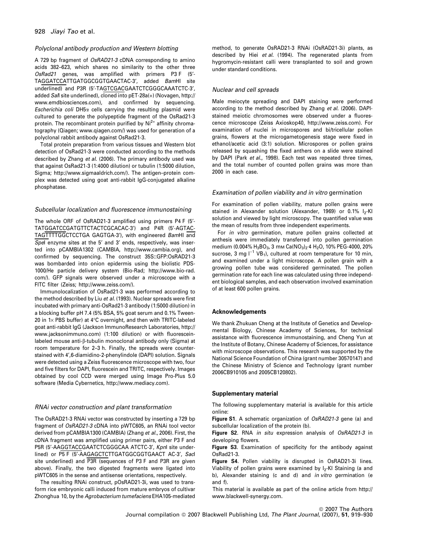# Polyclonal antibody production and Western blotting

A 729 bp fragment of OsRAD21-3 cDNA corresponding to amino acids 382–623, which shares no similarity to the other three OsRad21 genes, was amplified with primers P3 F (5¢- TAGGATCCATTGATGGCGGTGAACTAC-3', added BamHI site underlined) and P3R (5'-TAGTCGACGAATCTCGGGCAAATCTC-3', added Sall site underlined), cloned into pET-28a(+) (Novagen, http:// www.emdbiosciences.com), and confirmed by sequencing. Escherichia coli DH5 $\alpha$  cells carrying the resulting plasmid were cultured to generate the polypeptide fragment of the OsRad21-3 protein. The recombinant protein purified by  $Ni<sup>2+</sup>$  affinity chromatography (Qiagen; www.qiagen.com/) was used for generation of a polyclonal rabbit antibody against OsRad21-3.

Total protein preparation from various tissues and Western blot detection of OsRad21-3 were conducted according to the methods described by Zhang et al. (2006). The primary antibody used was that against OsRad21-3 (1:4000 dilution) or tubulin (1:5000 dilution, Sigma; http://www.sigmaaldrich.com/). The antigen–protein complex was detected using goat anti-rabbit IgG-conjugated alkaline phosphatase.

### Subcellular localization and fluorescence immunostaining

The whole ORF of OsRAD21-3 amplified using primers P4 F (5'-TATGGATCCGATGTTCTACTCGCACAC-3') and P4R (5'-AGTAC-TAGTTTTGGCTCCTGA GAGTGA-3'), with engineered BamHI and Spel enzyme sites at the 5' and 3' ends, respectively, was inserted into pCAMBIA1302 (CAMBIA, http://www.cambia.org), and confirmed by sequencing. The construct 35S::GFP:OsRAD21-3 was bombarded into onion epidermis using the biolistic PDS-1000/He particle delivery system (Bio-Rad; http://www.bio-rad. com/). GFP signals were observed under a microscope with a FITC filter (Zeiss; http://www.zeiss.com/).

Immunolocalization of OsRad21-3 was performed according to the method described by Liu et al. (1993). Nuclear spreads were first incubated with primary anti-OsRad21-3 antibody (1:5000 dilution) in a blocking buffer pH 7.4 (5% BSA, 5% goat serum and 0.1% Tween-20 in 1 $\times$  PBS buffer) at 4°C overnight, and then with TRITC-labeled goat anti-rabbit IgG (Jackson ImmunoResearch Laboratories, http:// www.jacksonimmuno.com) (1:100 dilution) or with fluoresceinlabeled mouse anti-β-tubulin monoclonal antibody only (Sigma) at room temperature for 2–3 h. Finally, the spreads were counterstained with 4¢,6-diamidino-2-phenylindole (DAPI) solution. Signals were detected using a Zeiss fluorescence microscope with two, four and five filters for DAPI, fluorescein and TRITC, respectively. Images obtained by cool CCD were merged using Image Pro-Plus 5.0 software (Media Cybernetics, http://www.mediacy.com).

### RNAi vector construction and plant transformation

The OsRAD21-3 RNAi vector was constructed by inserting a 729 bp fragment of OsRAD21-3 cDNA into pWTC605, an RNAi tool vector derived from pCAMBIA1300 (CAMBIA) (Zhang et al., 2006). First, the cDNA fragment was amplified using primer pairs, either P3 F and P5R (5'-AAGGTACCGAATCTCGGGCAA ATCTC-3', Kpnl site underlined) or P5 F (5'-AAGAGCTCTTGATGGCGGTGAACT AC-3', SacI site underlined) and P3R (sequences of P3 F and P3R are given above). Finally, the two digested fragments were ligated into pWTC605 in the sense and antisense orientations, respectively.

The resulting RNAi construct, pOsRAD21-3i, was used to transform rice embryonic calli induced from mature embryos of cultivar Zhonghua 10, by the Agrobacterium tumefaciens EHA105-mediated method, to generate OsRAD21-3 RNAi (OsRAD21-3i) plants, as described by Hiei et al. (1994). The regenerated plants from hygromycin-resistant calli were transplanted to soil and grown under standard conditions.

### Nuclear and cell spreads

Male meiocyte spreading and DAPI staining were performed according to the method described by Zhang et al. (2006). DAPIstained meiotic chromosomes were observed under a fluorescence microscope (Zeiss Axioskop40, http://www.zeiss.com). For examination of nuclei in microspores and bi/tricellular pollen grains, flowers at the microgametogenesis stage were fixed in ethanol/acetic acid (3:1) solution. Microspores or pollen grains released by squashing the fixed anthers on a slide were stained by DAPI (Park et al., 1998). Each test was repeated three times, and the total number of counted pollen grains was more than 2000 in each case.

### Examination of pollen viability and in vitro germination

For examination of pollen viability, mature pollen grains were stained in Alexander solution (Alexander, 1969) or 0.1% I<sub>2</sub>-KI solution and viewed by light microscopy. The quantified value was the mean of results from three independent experiments.

For in vitro germination, mature pollen grains collected at anthesis were immediately transferred into pollen germination medium (0.004% H<sub>3</sub>BO<sub>3</sub>, 3 mm Ca(NO<sub>3</sub>)<sub>2</sub>·4 H<sub>2</sub>O, 10% PEG-4000, 20% sucrose, 3 mg  $I^{-1}$  VB<sub>1</sub>), cultured at room temperature for 10 min, and examined under a light microscope. A pollen grain with a growing pollen tube was considered germinated. The pollen germination rate for each line was calculated using three independent biological samples, and each observation involved examination of at least 600 pollen grains.

### Acknowledgements

We thank Zhukuan Cheng at the Institute of Genetics and Developmental Biology, Chinese Academy of Sciences, for technical assistance with fluorescence immunostaining, and Cheng Yun at the Institute of Botany, Chinese Academy of Sciences, for assistance with microscope observations. This research was supported by the National Science Foundation of China (grant number 30570147) and the Chinese Ministry of Science and Technology (grant number 2006CB910105 and 2005CB120802).

### Supplementary material

The following supplementary material is available for this article online:

Figure S1. A schematic organization of OsRAD21-3 gene (a) and subcellular localization of the protein (b).

Figure S2. RNA in situ expression analysis of OsRAD21-3 in developing flowers.

Figure S3. Examination of specificity for the antibody against OsRad21-3.

Figure S4. Pollen viability is disrupted in OsRAD21-3i lines. Viability of pollen grains were examined by I<sub>2</sub>-KI Staining (a and b), Alexander staining (c and d) and in vitro germination (e and f).

This material is available as part of the online article from http:// www.blackwell-synergy.com.

© 2007 The Authors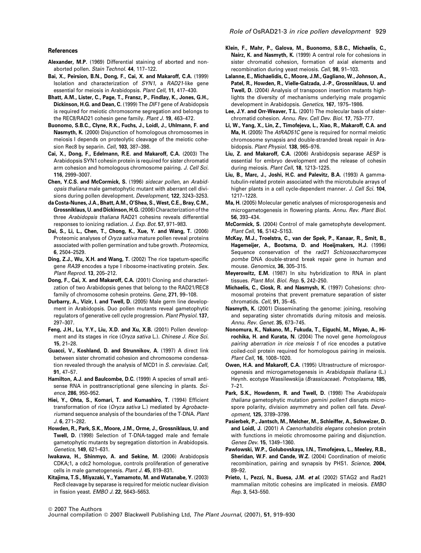#### References

- Alexander, M.P. (1969) Differential staining of aborted and nonaborted pollen. Stain Technol. 44, 117–122.
- Bai, X., Peirsion, B.N., Dong, F., Cai, X. and Makaroff, C.A. (1999) Isolation and characterization of SYN1, a RAD21-like gene essential for meiosis in Arabidopsis. Plant Cell, 11, 417–430.
- Bhatt, A.M., Lister, C., Page, T., Fransz, P., Findlay, K., Jones, G.H., Dickinson, H.G. and Dean, C. (1999) The DIF1 gene of Arabidopsis is required for meiotic chromosome segregation and belongs to the REC8/RAD21 cohesin gene family. Plant J. 19, 463–472.
- Buonomo, S.B.C., Clyne, R.K., Fuchs, J., Loidl, J., Uhlmann, F. and Nasmyth, K. (2000) Disjunction of homologous chromosomes in meiosis I depends on proteolytic cleavage of the meiotic cohesion Rec8 by separin. Cell, 103, 387-398.
- Cai, X., Dong, F., Edelmann, R.E. and Makaroff, C.A. (2003) The Arabidopsis SYN1 cohesin protein is required for sister chromatid arm cohesion and homologous chromosome pairing. J. Cell Sci. 116, 2999–3007.
- Chen, Y.C.S. and McCormick, S. (1996) sidecar pollen, an Arabidopsis thaliana male gametophytic mutant with aberrant cell divisions during pollen development. Development, 122, 3243–3253.
- da Costa-Nunes, J.A., Bhatt, A.M., O'Shea, S., West, C.E., Bray, C.M., Grossniklaus, U. and Dickinson, H.G.(2006) Characterization of the three Arabidopsis thaliana RAD21 cohesins reveals differential responses to ionizing radiation. J. Exp. Bot. 57, 971–983.
- Dai, S., Li, L., Chen, T., Chong, K., Xue, Y. and Wang, T. (2006) Proteomic analyses of Oryza sativa mature pollen reveal proteins associated with pollen germination and tube growth. Proteomics, 6, 2504–2529.
- Ding, Z.J., Wu, X.H. and Wang, T. (2002) The rice tapetum-specific gene RA39 encodes a type I ribosome-inactivating protein. Sex. Plant Reprod. 13, 205–212.
- Dong, F., Cai, X. and Makaroff, C.A. (2001) Cloning and characterization of two Arabidopsis genes that belong to the RAD21/REC8 family of chromosome cohesin proteins. Gene, 271, 99–108.
- Durbarry, A., Vizir, I. and Twell, D. (2005) Male germ line development in Arabidopsis. Duo pollen mutants reveal gametophytic regulators of generative cell cycle progression. Plant Physiol. 137, 297–307.
- Feng, J.H., Lu, Y.Y., Liu, X.D. and Xu, X.B. (2001) Pollen development and its stages in rice (Oryza sativa L.). Chinese J. Rice Sci. 15, 21–28.
- Guacci, V., Koshland, D. and Strunnikov, A. (1997) A direct link between sister chromatid cohesion and chromosome condensation revealed through the analysis of MCD1 in S. cerevisiae. Cell, 91, 47–57.
- Hamilton, A.J. and Baulcombe, D.C. (1999) A species of small antisense RNA in posttranscriptional gene silencing in plants. Science, 286, 950–952.
- Hiei, Y., Ohta, S., Komari, T. and Kumashiro, T. (1994) Efficient transformation of rice (Oryza sativa L.) mediated by Agrobacteriumand sequence analysis of the boundaries of the T-DNA. Plant J. 6, 271–282.
- Howden, R., Park, S.K., Moore, J.M., Orme, J., Grossniklaus, U. and Twell, D. (1998) Selection of T-DNA-tagged male and female gametophytic mutants by segregation distortion in Arabidopsis. Genetics, 149, 621–631.
- Iwakawa, H., Shinmyo, A. and Sekine, M. (2006) Arabidopsis CDKA;1, a cdc2 homologue, controls proliferation of generative cells in male gametogenesis. Plant J. 45, 819–831.
- Kitajima, T.S., Miyazaki, Y., Yamamoto, M. and Watanabe, Y. (2003) Rec8 cleavage by separase is required for meiotic nuclear division in fission yeast. EMBO J. 22, 5643–5653.
- Klein, F., Mahr, P., Galova, M., Buonomo, S.B.C., Michaelis, C., Nairz, K. and Nasmyth, K. (1999) A central role for cohesions in sister chromatid cohesion, formation of axial elements and recombination during yeast meiosis. Cell, 98, 91–103.
- Lalanne, E., Michaelidis, C., Moore, J.M., Gagliano, W., Johnson, A., Patel, R., Howden, R., Vielle-Galzada, J.-P., Grossniklaus, U. and Twell, D. (2004) Analysis of transposon insertion mutants highlights the diversity of mechanisms underlying male progamic development in Arabidopsis. Genetics, 167, 1975–1986.
- Lee, J.Y. and Orr-Weaver, T.L. (2001) The molecular basis of sisterchromatid cohesion. Annu. Rev. Cell Dev. Biol. 17, 753–777.
- Li, W., Yang, X., Lin, Z., Timofejeva, L., Xiao, R., Makaroff, C.A. and Ma, H. (2005) The AtRAD51C gene is required for normal meiotic chromosome synapsis and double-stranded break repair in Arabidopsis. Plant Physiol. 138, 965–976.
- Liu, Z. and Makaroff, C.A. (2006) Arabidopsis separase AESP is essential for embryo development and the release of cohesin during meiosis. Plant Cell, 18, 1213–1225.
- Liu, B., Marc, J., Joshi, H.C. and Palevitz, B.A. (1993) A gammatubulin-related protein associated with the microtubule arrays of higher plants in a cell cycle-dependent manner. J. Cell Sci. 104, 1217–1228.
- Ma, H. (2005) Molecular genetic analyses of microsporogenesis and microgametogenesis in flowering plants. Annu. Rev. Plant Biol. 56, 393–434.
- McCormick, S. (2004) Control of male gametophyte development. Plant Cell, 16, S142–S153.
- McKay, M.J., Troelstra, C., van der Spek, P., Kanaar, R., Smit, B., Hagemeijer, A., Bootsma, D. and Hoeijmakers, H.J. (1996) Sequence conservation of the rad21 Schizosaccharomyces pombe DNA double-strand break repair gene in human and mouse. Genomics, 36, 305–315.
- Meyerowitz, E.M. (1987) In situ hybridization to RNA in plant tissues. Plant Mol. Biol. Rep. 5, 242–250.
- Michaelis, C., Ciosk, R. and Nasmysh, K. (1997) Cohesions: chromosomal proteins that prevent premature separation of sister chromatids. Cell, 91, 35–45.
- Nasmyth, K. (2001) Disseminating the genome: joining, resolving and separating sister chromatids during mitosis and meiosis. Annu. Rev. Genet. 35, 673–745.
- Nonomura, K., Nakano, M., Fukuda, T., Eiguchi, M., Miyao, A., Hirochika, H. and Kurata, N. (2004) The novel gene homologous pairing aberration in rice meiosis 1 of rice encodes a putative coiled-coil protein required for homologous pairing in meiosis. Plant Cell, 16, 1008–1020.
- Owen, H.A. and Makaroff, C.A. (1995) Ultrastructure of microsporogenesis and microgametogenesis in Arabidopsis thaliana (L.) Heynh. ecotype Wassilewskija (Brassicaceae). Protoplasma, 185, 7–21.
- Park, S.K., Howdenm, R. and Twell, D. (1998) The Arabidopsis thaliana gametophytic mutation gemini pollen1 disrupts microspore polarity, division asymmetry and pollen cell fate. Development, 125, 3789–3799.
- Pasierbek, P., Jantsch, M., Melcher, M., Schleiffer, A., Schweizer, D. and Loidl, J. (2001) A Caenorhabditis elegans cohesion protein with functions in meiotic chromosome pairing and disjunction. Genes Dev. 15, 1349–1360.
- Pawlowski, W.P., Golubovskaya, I.N., Timofejeva, L., Meeley, R.B., Sheridan, W.F. and Cande, W.Z. (2004) Coordination of meiotic recombination, pairing and synapsis by PHS1. Science, 2004, 89–92.
- Prieto, I., Pezzi, N., Buesa, J.M. et al. (2002) STAG2 and Rad21 mammalian mitotic cohesins are implicated in meiosis. EMBO Rep. 3, 543–550.

<sup>©</sup> 2007 The Authors

Journal compilation © 2007 Blackwell Publishing Ltd, The Plant Journal, (2007), 51, 919-930